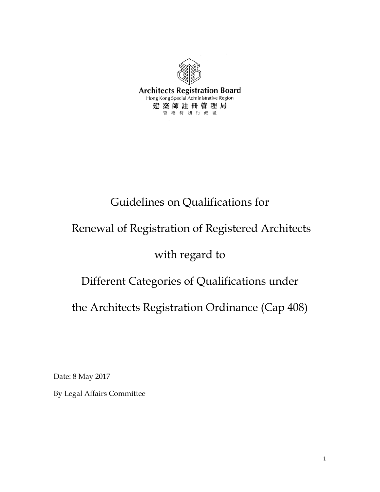

# Guidelines on Qualifications for

# Renewal of Registration of Registered Architects

# with regard to

# Different Categories of Qualifications under

the Architects Registration Ordinance (Cap 408)

Date: 8 May 2017

By Legal Affairs Committee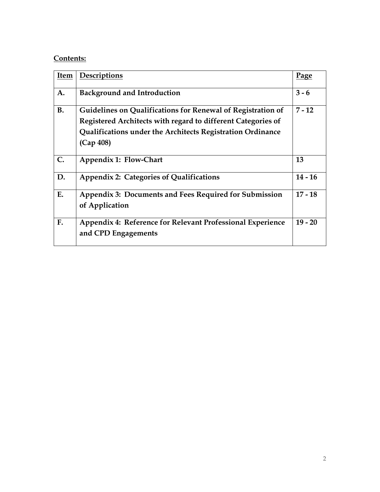## **Contents:**

| <b>Item</b> | Descriptions                                                                                                                                                                                           | Page      |
|-------------|--------------------------------------------------------------------------------------------------------------------------------------------------------------------------------------------------------|-----------|
| A.          | <b>Background and Introduction</b>                                                                                                                                                                     | $3 - 6$   |
| <b>B.</b>   | Guidelines on Qualifications for Renewal of Registration of<br>Registered Architects with regard to different Categories of<br>Qualifications under the Architects Registration Ordinance<br>(Cap 408) | $7 - 12$  |
| C.          | Appendix 1: Flow-Chart                                                                                                                                                                                 | 13        |
| D.          | <b>Appendix 2: Categories of Qualifications</b>                                                                                                                                                        | $14 - 16$ |
| E.          | Appendix 3: Documents and Fees Required for Submission<br>of Application                                                                                                                               | $17 - 18$ |
| F.          | Appendix 4: Reference for Relevant Professional Experience<br>and CPD Engagements                                                                                                                      | $19 - 20$ |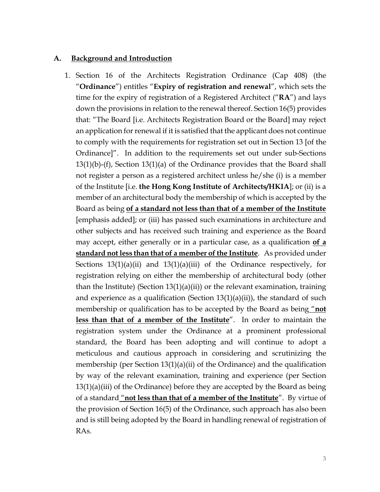#### **A. Background and Introduction**

1. Section 16 of the Architects Registration Ordinance (Cap 408) (the "**Ordinance**") entitles "**Expiry of registration and renewal**", which sets the time for the expiry of registration of a Registered Architect ("**RA**") and lays down the provisions in relation to the renewal thereof. Section 16(5) provides that: "The Board [i.e. Architects Registration Board or the Board] may reject an application for renewal if it is satisfied that the applicant does not continue to comply with the requirements for registration set out in Section 13 [of the Ordinance]". In addition to the requirements set out under sub-Sections 13(1)(b)-(f), Section 13(1)(a) of the Ordinance provides that the Board shall not register a person as a registered architect unless he/she (i) is a member of the Institute [i.e. **the Hong Kong Institute of Architects/HKIA**]; or (ii) is a member of an architectural body the membership of which is accepted by the Board as being **of a standard not less than that of a member of the Institute** [emphasis added]; or (iii) has passed such examinations in architecture and other subjects and has received such training and experience as the Board may accept, either generally or in a particular case, as a qualification **of a standard not less than that of a member of the Institute**. As provided under Sections  $13(1)(a)(ii)$  and  $13(1)(a)(iii)$  of the Ordinance respectively, for registration relying on either the membership of architectural body (other than the Institute) (Section  $13(1)(a)(ii)$ ) or the relevant examination, training and experience as a qualification (Section  $13(1)(a)(ii)$ ), the standard of such membership or qualification has to be accepted by the Board as being "**not less than that of a member of the Institute**". In order to maintain the registration system under the Ordinance at a prominent professional standard, the Board has been adopting and will continue to adopt a meticulous and cautious approach in considering and scrutinizing the membership (per Section 13(1)(a)(ii) of the Ordinance) and the qualification by way of the relevant examination, training and experience (per Section 13(1)(a)(iii) of the Ordinance) before they are accepted by the Board as being of a standard "**not less than that of a member of the Institute**". By virtue of the provision of Section 16(5) of the Ordinance, such approach has also been and is still being adopted by the Board in handling renewal of registration of RAs.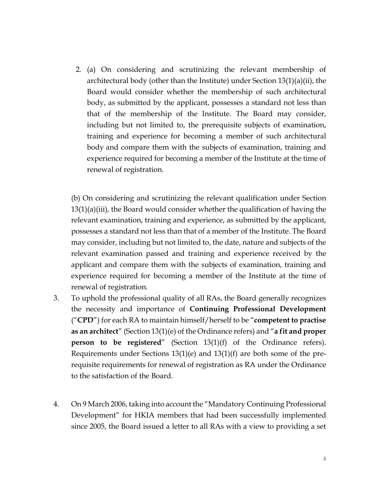2. (a) On considering and scrutinizing the relevant membership of architectural body (other than the Institute) under Section 13(1)(a)(ii), the Board would consider whether the membership of such architectural body, as submitted by the applicant, possesses a standard not less than that of the membership of the Institute. The Board may consider, including but not limited to, the prerequisite subjects of examination, training and experience for becoming a member of such architectural body and compare them with the subjects of examination, training and experience required for becoming a member of the Institute at the time of renewal of registration.

(b) On considering and scrutinizing the relevant qualification under Section 13(1)(a)(iii), the Board would consider whether the qualification of having the relevant examination, training and experience, as submitted by the applicant, possesses a standard not less than that of a member of the Institute. The Board may consider, including but not limited to, the date, nature and subjects of the relevant examination passed and training and experience received by the applicant and compare them with the subjects of examination, training and experience required for becoming a member of the Institute at the time of renewal of registration.

- 3. To uphold the professional quality of all RAs, the Board generally recognizes the necessity and importance of **Continuing Professional Development** ("**CPD**") for each RA to maintain himself/herself to be "**competent to practise as an architect**" (Section 13(1)(e) of the Ordinance refers) and "**a fit and proper person to be registered<sup>"</sup>** (Section 13(1)(f) of the Ordinance refers). Requirements under Sections 13(1)(e) and 13(1)(f) are both some of the prerequisite requirements for renewal of registration as RA under the Ordinance to the satisfaction of the Board.
- 4. On 9 March 2006, taking into account the "Mandatory Continuing Professional Development" for HKIA members that had been successfully implemented since 2005, the Board issued a letter to all RAs with a view to providing a set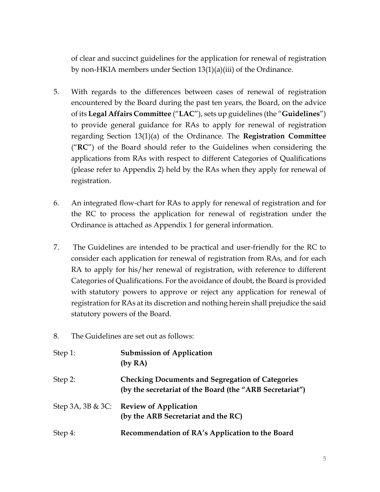of clear and succinct guidelines for the application for renewal of registration by non-HKIA members under Section 13(1)(a)(iii) of the Ordinance.

- 5. With regards to the differences between cases of renewal of registration encountered by the Board during the past ten years, the Board, on the advice of its **Legal Affairs Committee** ("**LAC**"), sets up guidelines (the "**Guidelines**") to provide general guidance for RAs to apply for renewal of registration regarding Section 13(1)(a) of the Ordinance. The **Registration Committee** ("**RC**") of the Board should refer to the Guidelines when considering the applications from RAs with respect to different Categories of Qualifications (please refer to Appendix 2) held by the RAs when they apply for renewal of registration.
- 6. An integrated flow-chart for RAs to apply for renewal of registration and for the RC to process the application for renewal of registration under the Ordinance is attached as Appendix 1 for general information.
- 7. The Guidelines are intended to be practical and user-friendly for the RC to consider each application for renewal of registration from RAs, and for each RA to apply for his/her renewal of registration, with reference to different Categories of Qualifications. For the avoidance of doubt, the Board is provided with statutory powers to approve or reject any application for renewal of registration for RAs at its discretion and nothing herein shall prejudice the said statutory powers of the Board.
- 8. The Guidelines are set out as follows:

| Step 1: | <b>Submission of Application</b><br>(by RA)                                                                         |
|---------|---------------------------------------------------------------------------------------------------------------------|
| Step 2: | <b>Checking Documents and Segregation of Categories</b><br>(by the secretariat of the Board (the "ARB Secretariat") |
|         | Step 3A, 3B & 3C: Review of Application<br>(by the ARB Secretariat and the RC)                                      |
| Step 4: | Recommendation of RA's Application to the Board                                                                     |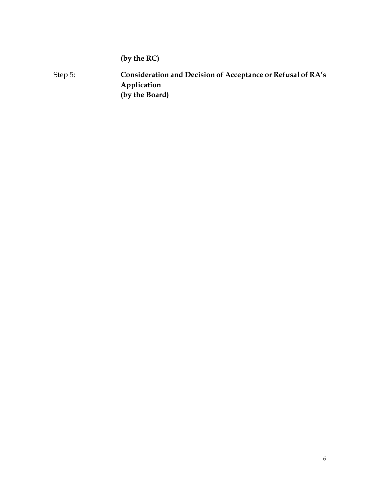**(by the RC)**

Step 5: **Consideration and Decision of Acceptance or Refusal of RA's Application (by the Board)**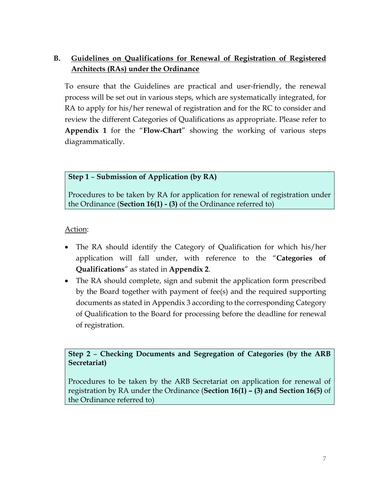# **B. Guidelines on Qualifications for Renewal of Registration of Registered Architects (RAs) under the Ordinance**

To ensure that the Guidelines are practical and user-friendly, the renewal process will be set out in various steps, which are systematically integrated, for RA to apply for his/her renewal of registration and for the RC to consider and review the different Categories of Qualifications as appropriate. Please refer to **Appendix 1** for the "**Flow-Chart**" showing the working of various steps diagrammatically.

## **Step 1** – **Submission of Application (by RA)**

Procedures to be taken by RA for application for renewal of registration under the Ordinance (**Section 16(1) - (3)** of the Ordinance referred to)

### Action:

- The RA should identify the Category of Qualification for which his/her application will fall under, with reference to the "**Categories of Qualifications**" as stated in **Appendix 2**.
- The RA should complete, sign and submit the application form prescribed by the Board together with payment of fee(s) and the required supporting documents as stated in Appendix 3 according to the corresponding Category of Qualification to the Board for processing before the deadline for renewal of registration.

**Step 2** – **Checking Documents and Segregation of Categories (by the ARB Secretariat)**

Procedures to be taken by the ARB Secretariat on application for renewal of registration by RA under the Ordinance (**Section 16(1) – (3) and Section 16(5)** of the Ordinance referred to)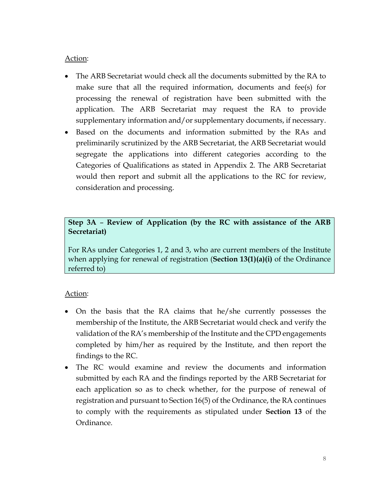#### Action:

- The ARB Secretariat would check all the documents submitted by the RA to make sure that all the required information, documents and fee(s) for processing the renewal of registration have been submitted with the application. The ARB Secretariat may request the RA to provide supplementary information and/or supplementary documents, if necessary.
- Based on the documents and information submitted by the RAs and preliminarily scrutinized by the ARB Secretariat, the ARB Secretariat would segregate the applications into different categories according to the Categories of Qualifications as stated in Appendix 2. The ARB Secretariat would then report and submit all the applications to the RC for review, consideration and processing.

### **Step 3A** – **Review of Application (by the RC with assistance of the ARB Secretariat)**

For RAs under Categories 1, 2 and 3, who are current members of the Institute when applying for renewal of registration (**Section 13(1)(a)(i)** of the Ordinance referred to)

- On the basis that the RA claims that he/she currently possesses the membership of the Institute, the ARB Secretariat would check and verify the validation of the RA's membership of the Institute and the CPD engagements completed by him/her as required by the Institute, and then report the findings to the RC.
- The RC would examine and review the documents and information submitted by each RA and the findings reported by the ARB Secretariat for each application so as to check whether, for the purpose of renewal of registration and pursuant to Section 16(5) of the Ordinance, the RA continues to comply with the requirements as stipulated under **Section 13** of the Ordinance.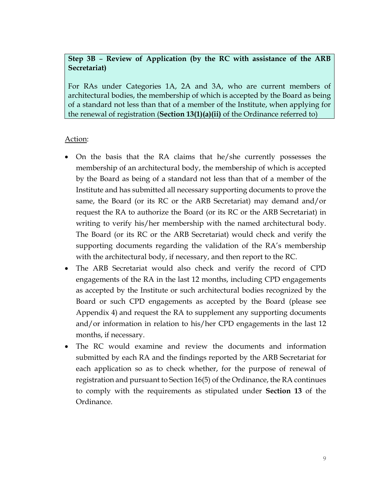## **Step 3B** – **Review of Application (by the RC with assistance of the ARB Secretariat)**

For RAs under Categories 1A, 2A and 3A, who are current members of architectural bodies, the membership of which is accepted by the Board as being of a standard not less than that of a member of the Institute, when applying for the renewal of registration (**Section 13(1)(a)(ii)** of the Ordinance referred to)

- On the basis that the RA claims that he/she currently possesses the membership of an architectural body, the membership of which is accepted by the Board as being of a standard not less than that of a member of the Institute and has submitted all necessary supporting documents to prove the same, the Board (or its RC or the ARB Secretariat) may demand and/or request the RA to authorize the Board (or its RC or the ARB Secretariat) in writing to verify his/her membership with the named architectural body. The Board (or its RC or the ARB Secretariat) would check and verify the supporting documents regarding the validation of the RA's membership with the architectural body, if necessary, and then report to the RC.
- The ARB Secretariat would also check and verify the record of CPD engagements of the RA in the last 12 months, including CPD engagements as accepted by the Institute or such architectural bodies recognized by the Board or such CPD engagements as accepted by the Board (please see Appendix 4) and request the RA to supplement any supporting documents and/or information in relation to his/her CPD engagements in the last 12 months, if necessary.
- The RC would examine and review the documents and information submitted by each RA and the findings reported by the ARB Secretariat for each application so as to check whether, for the purpose of renewal of registration and pursuant to Section 16(5) of the Ordinance, the RA continues to comply with the requirements as stipulated under **Section 13** of the Ordinance.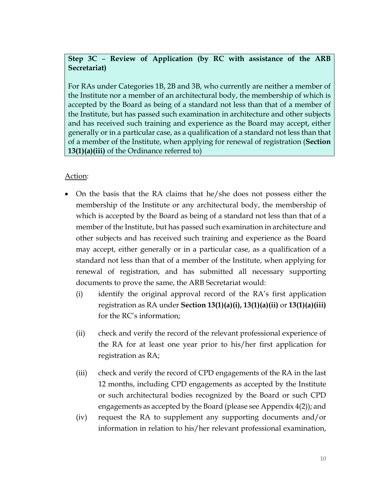## **Step 3C** – **Review of Application (by RC with assistance of the ARB Secretariat)**

For RAs under Categories 1B, 2B and 3B, who currently are neither a member of the Institute nor a member of an architectural body, the membership of which is accepted by the Board as being of a standard not less than that of a member of the Institute, but has passed such examination in architecture and other subjects and has received such training and experience as the Board may accept, either generally or in a particular case, as a qualification of a standard not less than that of a member of the Institute, when applying for renewal of registration (**Section 13(1)(a)(iii)** of the Ordinance referred to)

- On the basis that the RA claims that he/she does not possess either the membership of the Institute or any architectural body, the membership of which is accepted by the Board as being of a standard not less than that of a member of the Institute, but has passed such examination in architecture and other subjects and has received such training and experience as the Board may accept, either generally or in a particular case, as a qualification of a standard not less than that of a member of the Institute, when applying for renewal of registration, and has submitted all necessary supporting documents to prove the same, the ARB Secretariat would:
	- (i) identify the original approval record of the RA's first application registration as RA under **Section 13(1)(a)(i), 13(1)(a)(ii)** or **13(1)(a)(iii)** for the RC's information;
	- (ii) check and verify the record of the relevant professional experience of the RA for at least one year prior to his/her first application for registration as RA;
	- (iii) check and verify the record of CPD engagements of the RA in the last 12 months, including CPD engagements as accepted by the Institute or such architectural bodies recognized by the Board or such CPD engagements as accepted by the Board (please see Appendix 4(2)); and
	- (iv) request the RA to supplement any supporting documents and/or information in relation to his/her relevant professional examination,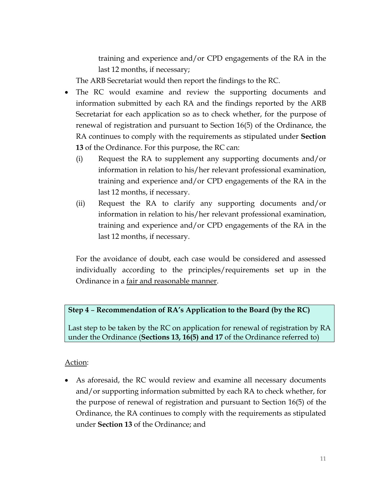training and experience and/or CPD engagements of the RA in the last 12 months, if necessary;

The ARB Secretariat would then report the findings to the RC.

- The RC would examine and review the supporting documents and information submitted by each RA and the findings reported by the ARB Secretariat for each application so as to check whether, for the purpose of renewal of registration and pursuant to Section 16(5) of the Ordinance, the RA continues to comply with the requirements as stipulated under **Section 13** of the Ordinance. For this purpose, the RC can:
	- (i) Request the RA to supplement any supporting documents and/or information in relation to his/her relevant professional examination, training and experience and/or CPD engagements of the RA in the last 12 months, if necessary.
	- (ii) Request the RA to clarify any supporting documents and/or information in relation to his/her relevant professional examination, training and experience and/or CPD engagements of the RA in the last 12 months, if necessary.

For the avoidance of doubt, each case would be considered and assessed individually according to the principles/requirements set up in the Ordinance in a fair and reasonable manner.

## **Step 4** – **Recommendation of RA's Application to the Board (by the RC)**

Last step to be taken by the RC on application for renewal of registration by RA under the Ordinance (**Sections 13, 16(5) and 17** of the Ordinance referred to)

## Action:

• As aforesaid, the RC would review and examine all necessary documents and/or supporting information submitted by each RA to check whether, for the purpose of renewal of registration and pursuant to Section 16(5) of the Ordinance, the RA continues to comply with the requirements as stipulated under **Section 13** of the Ordinance; and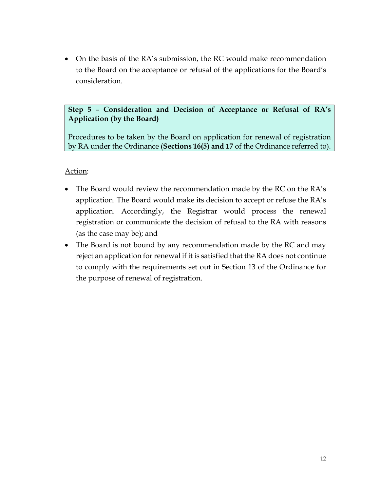• On the basis of the RA's submission, the RC would make recommendation to the Board on the acceptance or refusal of the applications for the Board's consideration.

## **Step 5** – **Consideration and Decision of Acceptance or Refusal of RA's Application (by the Board)**

Procedures to be taken by the Board on application for renewal of registration by RA under the Ordinance (**Sections 16(5) and 17** of the Ordinance referred to).

- The Board would review the recommendation made by the RC on the RA's application. The Board would make its decision to accept or refuse the RA's application. Accordingly, the Registrar would process the renewal registration or communicate the decision of refusal to the RA with reasons (as the case may be); and
- The Board is not bound by any recommendation made by the RC and may reject an application for renewal if it is satisfied that the RA does not continue to comply with the requirements set out in Section 13 of the Ordinance for the purpose of renewal of registration.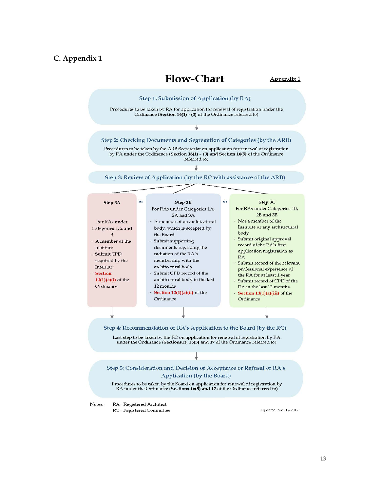#### **C. Appendix 1**

# **Flow-Chart**



by RA under the Ordinance (Section  $16(1)$  - (3) and Section 16(5) of the Ordinance

Step 3: Review of Application (by the RC with assistance of the ARB)

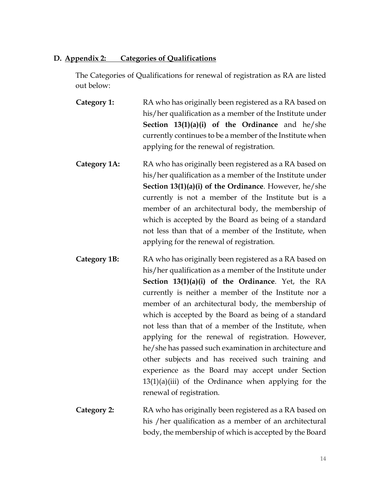#### **D. Appendix 2: Categories of Qualifications**

The Categories of Qualifications for renewal of registration as RA are listed out below:

- **Category 1:** RA who has originally been registered as a RA based on his/her qualification as a member of the Institute under **Section 13(1)(a)(i) of the Ordinance** and he/she currently continues to be a member of the Institute when applying for the renewal of registration.
- **Category 1A:** RA who has originally been registered as a RA based on his/her qualification as a member of the Institute under **Section 13(1)(a)(i) of the Ordinance**. However, he/she currently is not a member of the Institute but is a member of an architectural body, the membership of which is accepted by the Board as being of a standard not less than that of a member of the Institute, when applying for the renewal of registration.
- **Category 1B:** RA who has originally been registered as a RA based on his/her qualification as a member of the Institute under **Section 13(1)(a)(i) of the Ordinance**. Yet, the RA currently is neither a member of the Institute nor a member of an architectural body, the membership of which is accepted by the Board as being of a standard not less than that of a member of the Institute, when applying for the renewal of registration. However, he/she has passed such examination in architecture and other subjects and has received such training and experience as the Board may accept under Section  $13(1)(a)(iii)$  of the Ordinance when applying for the renewal of registration.
- **Category 2:** RA who has originally been registered as a RA based on his /her qualification as a member of an architectural body, the membership of which is accepted by the Board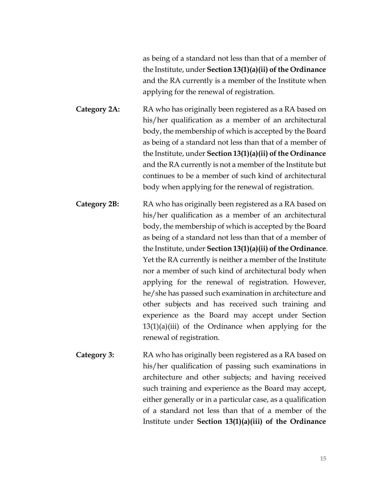as being of a standard not less than that of a member of the Institute, under **Section 13(1)(a)(ii) of the Ordinance**  and the RA currently is a member of the Institute when applying for the renewal of registration.

**Category 2A:** RA who has originally been registered as a RA based on his/her qualification as a member of an architectural body, the membership of which is accepted by the Board as being of a standard not less than that of a member of the Institute, under **Section 13(1)(a)(ii) of the Ordinance**  and the RA currently is not a member of the Institute but continues to be a member of such kind of architectural body when applying for the renewal of registration.

**Category 2B:** RA who has originally been registered as a RA based on his/her qualification as a member of an architectural body, the membership of which is accepted by the Board as being of a standard not less than that of a member of the Institute, under **Section 13(1)(a)(ii) of the Ordinance**. Yet the RA currently is neither a member of the Institute nor a member of such kind of architectural body when applying for the renewal of registration. However, he/she has passed such examination in architecture and other subjects and has received such training and experience as the Board may accept under Section  $13(1)(a)(iii)$  of the Ordinance when applying for the renewal of registration.

**Category 3:** RA who has originally been registered as a RA based on his/her qualification of passing such examinations in architecture and other subjects; and having received such training and experience as the Board may accept, either generally or in a particular case, as a qualification of a standard not less than that of a member of the Institute under **Section 13(1)(a)(iii) of the Ordinance**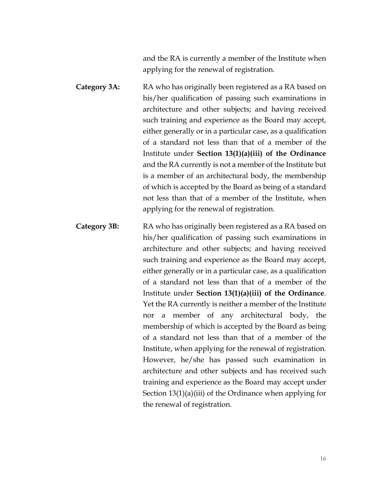and the RA is currently a member of the Institute when applying for the renewal of registration.

- **Category 3A:** RA who has originally been registered as a RA based on his/her qualification of passing such examinations in architecture and other subjects; and having received such training and experience as the Board may accept, either generally or in a particular case, as a qualification of a standard not less than that of a member of the Institute under **Section 13(1)(a)(iii) of the Ordinance**  and the RA currently is not a member of the Institute but is a member of an architectural body, the membership of which is accepted by the Board as being of a standard not less than that of a member of the Institute, when applying for the renewal of registration.
- **Category 3B:** RA who has originally been registered as a RA based on his/her qualification of passing such examinations in architecture and other subjects; and having received such training and experience as the Board may accept, either generally or in a particular case, as a qualification of a standard not less than that of a member of the Institute under **Section 13(1)(a)(iii) of the Ordinance**. Yet the RA currently is neither a member of the Institute nor a member of any architectural body, the membership of which is accepted by the Board as being of a standard not less than that of a member of the Institute, when applying for the renewal of registration. However, he/she has passed such examination in architecture and other subjects and has received such training and experience as the Board may accept under Section 13(1)(a)(iii) of the Ordinance when applying for the renewal of registration.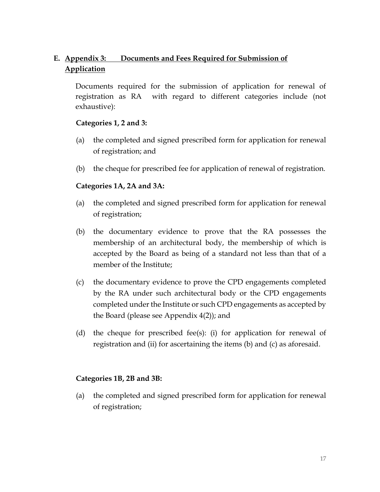# **E. Appendix 3: Documents and Fees Required for Submission of Application**

Documents required for the submission of application for renewal of registration as RA with regard to different categories include (not exhaustive):

#### **Categories 1, 2 and 3:**

- (a) the completed and signed prescribed form for application for renewal of registration; and
- (b) the cheque for prescribed fee for application of renewal of registration.

#### **Categories 1A, 2A and 3A:**

- (a) the completed and signed prescribed form for application for renewal of registration;
- (b) the documentary evidence to prove that the RA possesses the membership of an architectural body, the membership of which is accepted by the Board as being of a standard not less than that of a member of the Institute;
- (c) the documentary evidence to prove the CPD engagements completed by the RA under such architectural body or the CPD engagements completed under the Institute or such CPD engagements as accepted by the Board (please see Appendix 4(2)); and
- (d) the cheque for prescribed fee(s): (i) for application for renewal of registration and (ii) for ascertaining the items (b) and (c) as aforesaid.

#### **Categories 1B, 2B and 3B:**

(a) the completed and signed prescribed form for application for renewal of registration;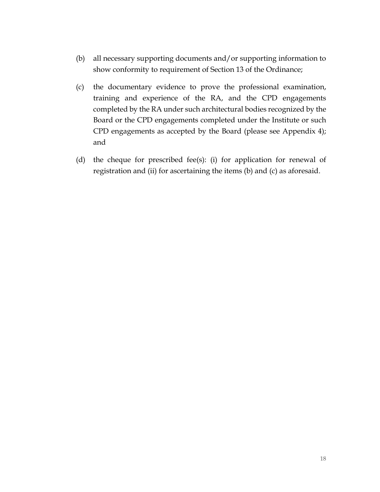- (b) all necessary supporting documents and/or supporting information to show conformity to requirement of Section 13 of the Ordinance;
- (c) the documentary evidence to prove the professional examination, training and experience of the RA, and the CPD engagements completed by the RA under such architectural bodies recognized by the Board or the CPD engagements completed under the Institute or such CPD engagements as accepted by the Board (please see Appendix 4); and
- (d) the cheque for prescribed fee(s): (i) for application for renewal of registration and (ii) for ascertaining the items (b) and (c) as aforesaid.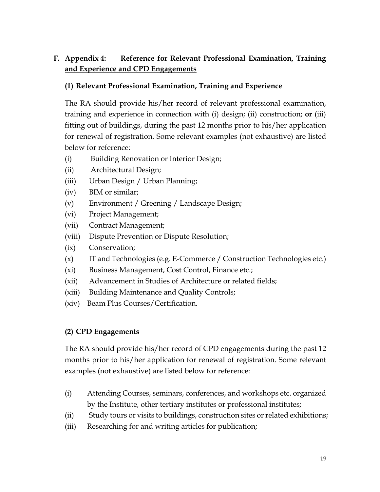# **F. Appendix 4: Reference for Relevant Professional Examination, Training and Experience and CPD Engagements**

## **(1) Relevant Professional Examination, Training and Experience**

The RA should provide his/her record of relevant professional examination, training and experience in connection with (i) design; (ii) construction; **or** (iii) fitting out of buildings, during the past 12 months prior to his/her application for renewal of registration. Some relevant examples (not exhaustive) are listed below for reference:

- (i) Building Renovation or Interior Design;
- (ii) Architectural Design;
- (iii) Urban Design / Urban Planning;
- (iv) BIM or similar;
- (v) Environment / Greening / Landscape Design;
- (vi) Project Management;
- (vii) Contract Management;
- (viii) Dispute Prevention or Dispute Resolution;
- (ix) Conservation;
- (x) IT and Technologies (e.g. E-Commerce / Construction Technologies etc.)
- (xi) Business Management, Cost Control, Finance etc.;
- (xii) Advancement in Studies of Architecture or related fields;
- (xiii) Building Maintenance and Quality Controls;
- (xiv) Beam Plus Courses/Certification.

## **(2) CPD Engagements**

The RA should provide his/her record of CPD engagements during the past 12 months prior to his/her application for renewal of registration. Some relevant examples (not exhaustive) are listed below for reference:

- (i) Attending Courses, seminars, conferences, and workshops etc. organized by the Institute, other tertiary institutes or professional institutes;
- (ii) Study tours or visits to buildings, construction sites or related exhibitions;
- (iii) Researching for and writing articles for publication;